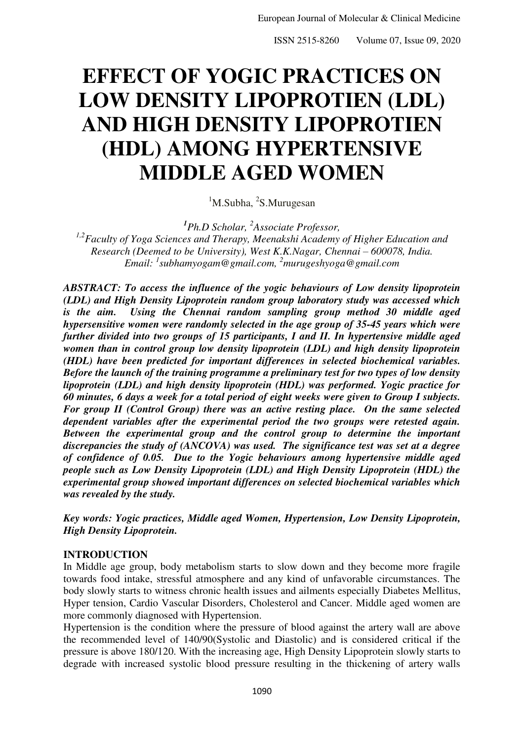ISSN 2515-8260 Volume 07, Issue 09, 2020

# **EFFECT OF YOGIC PRACTICES ON LOW DENSITY LIPOPROTIEN (LDL) AND HIGH DENSITY LIPOPROTIEN (HDL) AMONG HYPERTENSIVE MIDDLE AGED WOMEN**

<sup>1</sup>M.Subha, <sup>2</sup>S.Murugesan

*1 Ph.D Scholar, <sup>2</sup> Associate Professor,* 

*1,2Faculty of Yoga Sciences and Therapy, Meenakshi Academy of Higher Education and Research (Deemed to be University), West K.K.Nagar, Chennai* – 600078, India. *Email: <sup>1</sup> [subhamyogam@gmail.com,](mailto:subhamyogam@gmail.com) <sup>2</sup>murugeshyoga@gmail.com* 

*ABSTRACT: To access the influence of the yogic behaviours of Low density lipoprotein (LDL) and High Density Lipoprotein random group laboratory study was accessed which is the aim. Using the Chennai random sampling group method 30 middle aged hypersensitive women were randomly selected in the age group of 35-45 years which were further divided into two groups of 15 participants, I and II. In hypertensive middle aged women than in control group low density lipoprotein (LDL) and high density lipoprotein (HDL) have been predicted for important differences in selected biochemical variables. Before the launch of the training programme a preliminary test for two types of low density lipoprotein (LDL) and high density lipoprotein (HDL) was performed. Yogic practice for 60 minutes, 6 days a week for a total period of eight weeks were given to Group I subjects. For group II (Control Group) there was an active resting place. On the same selected dependent variables after the experimental period the two groups were retested again. Between the experimental group and the control group to determine the important discrepancies the study of (ANCOVA) was used. The significance test was set at a degree of confidence of 0.05. Due to the Yogic behaviours among hypertensive middle aged people such as Low Density Lipoprotein (LDL) and High Density Lipoprotein (HDL) the experimental group showed important differences on selected biochemical variables which was revealed by the study.* 

*Key words: Yogic practices, Middle aged Women, Hypertension, Low Density Lipoprotein, High Density Lipoprotein.*

## **INTRODUCTION**

In Middle age group, body metabolism starts to slow down and they become more fragile towards food intake, stressful atmosphere and any kind of unfavorable circumstances. The body slowly starts to witness chronic health issues and ailments especially Diabetes Mellitus, Hyper tension, Cardio Vascular Disorders, Cholesterol and Cancer. Middle aged women are more commonly diagnosed with Hypertension.

Hypertension is the condition where the pressure of blood against the artery wall are above the recommended level of 140/90(Systolic and Diastolic) and is considered critical if the pressure is above 180/120. With the increasing age, High Density Lipoprotein slowly starts to degrade with increased systolic blood pressure resulting in the thickening of artery walls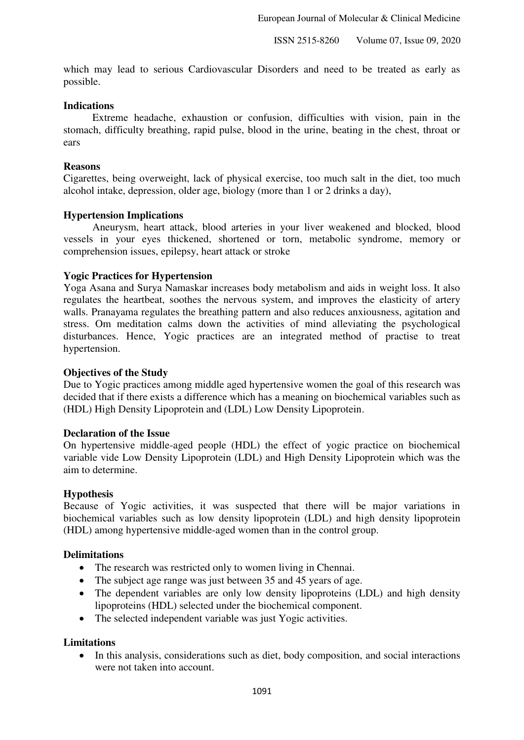which may lead to serious Cardiovascular Disorders and need to be treated as early as possible.

## **Indications**

 Extreme headache, exhaustion or confusion, difficulties with vision, pain in the stomach, difficulty breathing, rapid pulse, blood in the urine, beating in the chest, throat or ears

## **Reasons**

Cigarettes, being overweight, lack of physical exercise, too much salt in the diet, too much alcohol intake, depression, older age, biology (more than 1 or 2 drinks a day),

## **Hypertension Implications**

 Aneurysm, heart attack, blood arteries in your liver weakened and blocked, blood vessels in your eyes thickened, shortened or torn, metabolic syndrome, memory or comprehension issues, epilepsy, heart attack or stroke

## **Yogic Practices for Hypertension**

Yoga Asana and Surya Namaskar increases body metabolism and aids in weight loss. It also regulates the heartbeat, soothes the nervous system, and improves the elasticity of artery walls. Pranayama regulates the breathing pattern and also reduces anxiousness, agitation and stress. Om meditation calms down the activities of mind alleviating the psychological disturbances. Hence, Yogic practices are an integrated method of practise to treat hypertension.

#### **Objectives of the Study**

Due to Yogic practices among middle aged hypertensive women the goal of this research was decided that if there exists a difference which has a meaning on biochemical variables such as (HDL) High Density Lipoprotein and (LDL) Low Density Lipoprotein.

#### **Declaration of the Issue**

On hypertensive middle-aged people (HDL) the effect of yogic practice on biochemical variable vide Low Density Lipoprotein (LDL) and High Density Lipoprotein which was the aim to determine.

#### **Hypothesis**

Because of Yogic activities, it was suspected that there will be major variations in biochemical variables such as low density lipoprotein (LDL) and high density lipoprotein (HDL) among hypertensive middle-aged women than in the control group.

#### **Delimitations**

- The research was restricted only to women living in Chennai.
- The subject age range was just between 35 and 45 years of age.
- The dependent variables are only low density lipoproteins (LDL) and high density lipoproteins (HDL) selected under the biochemical component.
- The selected independent variable was just Yogic activities.

#### **Limitations**

• In this analysis, considerations such as diet, body composition, and social interactions were not taken into account.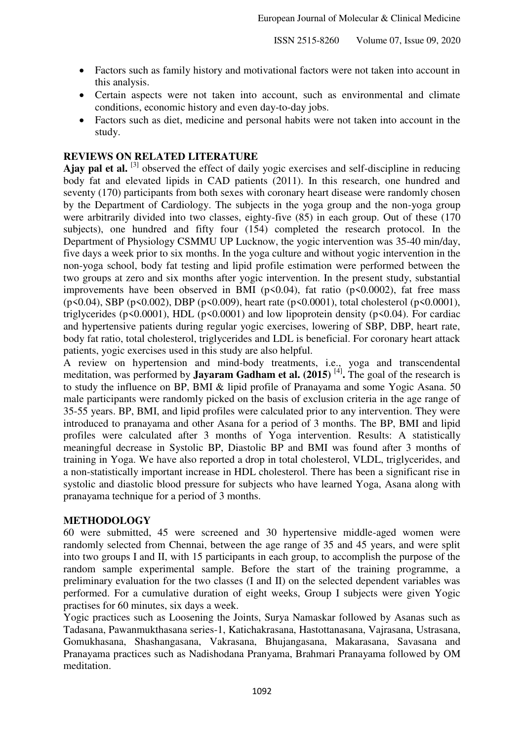- Factors such as family history and motivational factors were not taken into account in this analysis.
- Certain aspects were not taken into account, such as environmental and climate conditions, economic history and even day-to-day jobs.
- Factors such as diet, medicine and personal habits were not taken into account in the study.

# **REVIEWS ON RELATED LITERATURE**

**Ajay pal et al.** [3] observed the effect of daily yogic exercises and self-discipline in reducing body fat and elevated lipids in CAD patients (2011). In this research, one hundred and seventy (170) participants from both sexes with coronary heart disease were randomly chosen by the Department of Cardiology. The subjects in the yoga group and the non-yoga group were arbitrarily divided into two classes, eighty-five (85) in each group. Out of these (170 subjects), one hundred and fifty four (154) completed the research protocol. In the Department of Physiology CSMMU UP Lucknow, the yogic intervention was 35-40 min/day, five days a week prior to six months. In the yoga culture and without yogic intervention in the non-yoga school, body fat testing and lipid profile estimation were performed between the two groups at zero and six months after yogic intervention. In the present study, substantial improvements have been observed in BMI ( $p<0.04$ ), fat ratio ( $p<0.0002$ ), fat free mass (p<0.04), SBP (p<0.002), DBP (p<0.009), heart rate (p<0.0001), total cholesterol (p<0.0001), triglycerides ( $p \le 0.0001$ ), HDL ( $p \le 0.0001$ ) and low lipoprotein density ( $p \le 0.04$ ). For cardiac and hypertensive patients during regular yogic exercises, lowering of SBP, DBP, heart rate, body fat ratio, total cholesterol, triglycerides and LDL is beneficial. For coronary heart attack patients, yogic exercises used in this study are also helpful.

A review on hypertension and mind-body treatments, i.e., yoga and transcendental meditation, was performed by **Jayaram Gadham et al. (2015)** [4] **.** The goal of the research is to study the influence on BP, BMI & lipid profile of Pranayama and some Yogic Asana. 50 male participants were randomly picked on the basis of exclusion criteria in the age range of 35-55 years. BP, BMI, and lipid profiles were calculated prior to any intervention. They were introduced to pranayama and other Asana for a period of 3 months. The BP, BMI and lipid profiles were calculated after 3 months of Yoga intervention. Results: A statistically meaningful decrease in Systolic BP, Diastolic BP and BMI was found after 3 months of training in Yoga. We have also reported a drop in total cholesterol, VLDL, triglycerides, and a non-statistically important increase in HDL cholesterol. There has been a significant rise in systolic and diastolic blood pressure for subjects who have learned Yoga, Asana along with pranayama technique for a period of 3 months.

## **METHODOLOGY**

60 were submitted, 45 were screened and 30 hypertensive middle-aged women were randomly selected from Chennai, between the age range of 35 and 45 years, and were split into two groups I and II, with 15 participants in each group, to accomplish the purpose of the random sample experimental sample. Before the start of the training programme, a preliminary evaluation for the two classes (I and II) on the selected dependent variables was performed. For a cumulative duration of eight weeks, Group I subjects were given Yogic practises for 60 minutes, six days a week.

Yogic practices such as Loosening the Joints, Surya Namaskar followed by Asanas such as Tadasana, Pawanmukthasana series-1, Katichakrasana, Hastottanasana, Vajrasana, Ustrasana, Gomukhasana, Shashangasana, Vakrasana, Bhujangasana, Makarasana, Savasana and Pranayama practices such as Nadishodana Pranyama, Brahmari Pranayama followed by OM meditation.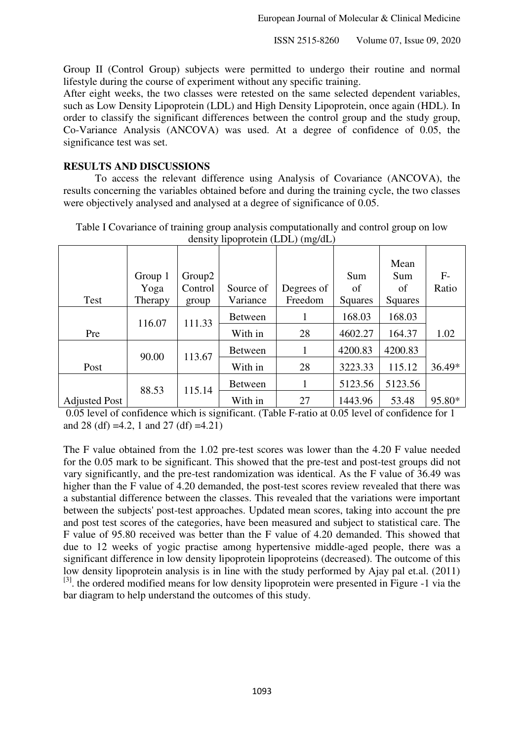Group II (Control Group) subjects were permitted to undergo their routine and normal lifestyle during the course of experiment without any specific training.

After eight weeks, the two classes were retested on the same selected dependent variables, such as Low Density Lipoprotein (LDL) and High Density Lipoprotein, once again (HDL). In order to classify the significant differences between the control group and the study group, Co-Variance Analysis (ANCOVA) was used. At a degree of confidence of 0.05, the significance test was set.

# **RESULTS AND DISCUSSIONS**

 To access the relevant difference using Analysis of Covariance (ANCOVA), the results concerning the variables obtained before and during the training cycle, the two classes were objectively analysed and analysed at a degree of significance of 0.05.

|                      |         |                    |                | $\alpha$   |         |         |        |
|----------------------|---------|--------------------|----------------|------------|---------|---------|--------|
|                      |         |                    |                |            |         | Mean    |        |
|                      | Group 1 | Group <sub>2</sub> |                |            | Sum     | Sum     | $F-$   |
|                      | Yoga    | Control            | Source of      | Degrees of | of      | of      | Ratio  |
| Test                 | Therapy | group              | Variance       | Freedom    | Squares | Squares |        |
|                      | 116.07  | 111.33             | <b>Between</b> |            | 168.03  | 168.03  |        |
| Pre                  |         |                    | With in        | 28         | 4602.27 | 164.37  | 1.02   |
|                      | 90.00   | 113.67             | <b>Between</b> |            | 4200.83 | 4200.83 |        |
| Post                 |         |                    | With in        | 28         | 3223.33 | 115.12  | 36.49* |
|                      | 88.53   | 115.14             | <b>Between</b> |            | 5123.56 | 5123.56 |        |
| <b>Adjusted Post</b> |         |                    | With in        | 27         | 1443.96 | 53.48   | 95.80* |

Table I Covariance of training group analysis computationally and control group on low density lipoprotein (LDL) (mg/dL)

 0.05 level of confidence which is significant. (Table F-ratio at 0.05 level of confidence for 1 and 28 (df) =4.2, 1 and 27 (df) =4.21)

The F value obtained from the 1.02 pre-test scores was lower than the 4.20 F value needed for the 0.05 mark to be significant. This showed that the pre-test and post-test groups did not vary significantly, and the pre-test randomization was identical. As the F value of 36.49 was higher than the F value of 4.20 demanded, the post-test scores review revealed that there was a substantial difference between the classes. This revealed that the variations were important between the subjects' post-test approaches. Updated mean scores, taking into account the pre and post test scores of the categories, have been measured and subject to statistical care. The F value of 95.80 received was better than the F value of 4.20 demanded. This showed that due to 12 weeks of yogic practise among hypertensive middle-aged people, there was a significant difference in low density lipoprotein lipoproteins (decreased). The outcome of this low density lipoprotein analysis is in line with the study performed by Ajay pal et.al. (2011)  $[3]$ . the ordered modified means for low density lipoprotein were presented in Figure -1 via the bar diagram to help understand the outcomes of this study.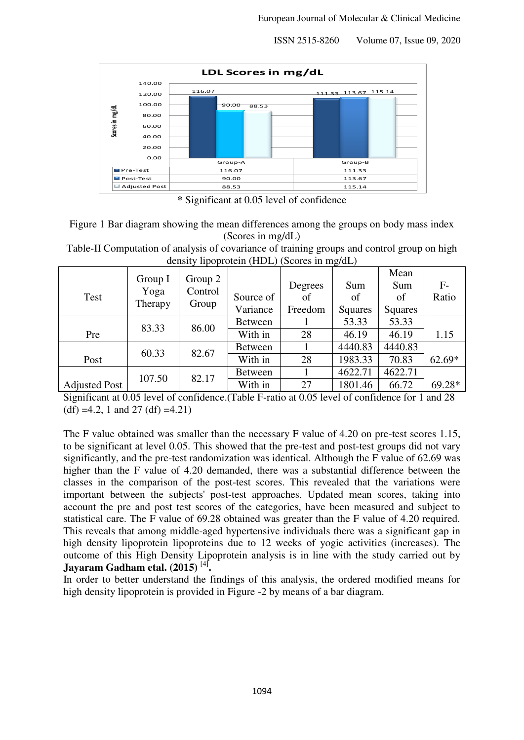ISSN 2515-8260 Volume 07, Issue 09, 2020



**\*** Significant at 0.05 level of confidence

| Figure 1 Bar diagram showing the mean differences among the groups on body mass index |  |
|---------------------------------------------------------------------------------------|--|
| (Scores in mg/dL)                                                                     |  |

Table-II Computation of analysis of covariance of training groups and control group on high density lipoprotein (HDL) (Scores in mg/dL)

| Test                 | Group I<br>Yoga<br>Therapy | Group 2<br>Control<br>Group | Source of<br>Variance | Degrees<br>of<br>Freedom | Sum<br>of<br>Squares | Mean<br>Sum<br>οf<br>Squares | $F-$<br>Ratio |
|----------------------|----------------------------|-----------------------------|-----------------------|--------------------------|----------------------|------------------------------|---------------|
|                      | 83.33                      | 86.00                       | <b>Between</b>        |                          | 53.33                | 53.33                        |               |
| Pre                  |                            |                             | With in               | 28                       | 46.19                | 46.19                        | 1.15          |
|                      | 60.33                      | 82.67                       | <b>Between</b>        |                          | 4440.83              | 4440.83                      |               |
| Post                 |                            |                             | With in               | 28                       | 1983.33              | 70.83                        | 62.69*        |
|                      | 107.50                     | 82.17                       | <b>Between</b>        |                          | 4622.71              | 4622.71                      |               |
| <b>Adjusted Post</b> |                            |                             | With in               | 27                       | 1801.46              | 66.72                        | $69.28*$      |

Significant at 0.05 level of confidence.(Table F-ratio at 0.05 level of confidence for 1 and 28  $(df) = 4.2$ , 1 and 27 (df) = 4.21)

The F value obtained was smaller than the necessary F value of 4.20 on pre-test scores 1.15, to be significant at level 0.05. This showed that the pre-test and post-test groups did not vary significantly, and the pre-test randomization was identical. Although the F value of 62.69 was higher than the F value of 4.20 demanded, there was a substantial difference between the classes in the comparison of the post-test scores. This revealed that the variations were important between the subjects' post-test approaches. Updated mean scores, taking into account the pre and post test scores of the categories, have been measured and subject to statistical care. The F value of 69.28 obtained was greater than the F value of 4.20 required. This reveals that among middle-aged hypertensive individuals there was a significant gap in high density lipoprotein lipoproteins due to 12 weeks of yogic activities (increases). The outcome of this High Density Lipoprotein analysis is in line with the study carried out by **Jayaram Gadham etal. (2015)** [4] **.**

In order to better understand the findings of this analysis, the ordered modified means for high density lipoprotein is provided in Figure -2 by means of a bar diagram.